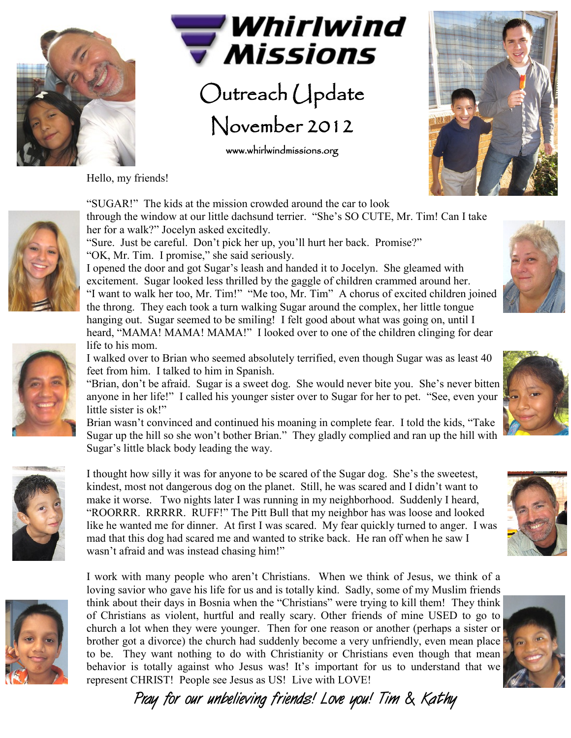



Outreach Update November 2012

www.whirlwindmissions.org

Hello, my friends!





heard, "MAMA! MAMA! MAMA!" I looked over to one of the children clinging for dear life to his mom.

I walked over to Brian who seemed absolutely terrified, even though Sugar was as least 40 feet from him. I talked to him in Spanish.

"Brian, don't be afraid. Sugar is a sweet dog. She would never bite you. She's never bitten anyone in her life!" I called his younger sister over to Sugar for her to pet. "See, even your little sister is ok!"

Brian wasn't convinced and continued his moaning in complete fear. I told the kids, "Take Sugar up the hill so she won't bother Brian." They gladly complied and ran up the hill with Sugar's little black body leading the way.



I thought how silly it was for anyone to be scared of the Sugar dog. She's the sweetest, kindest, most not dangerous dog on the planet. Still, he was scared and I didn't want to make it worse. Two nights later I was running in my neighborhood. Suddenly I heard, "ROORRR. RRRRR. RUFF!" The Pitt Bull that my neighbor has was loose and looked like he wanted me for dinner. At first I was scared. My fear quickly turned to anger. I was mad that this dog had scared me and wanted to strike back. He ran off when he saw I wasn't afraid and was instead chasing him!"



I work with many people who aren't Christians. When we think of Jesus, we think of a loving savior who gave his life for us and is totally kind. Sadly, some of my Muslim friends think about their days in Bosnia when the "Christians" were trying to kill them! They think of Christians as violent, hurtful and really scary. Other friends of mine USED to go to church a lot when they were younger. Then for one reason or another (perhaps a sister or brother got a divorce) the church had suddenly become a very unfriendly, even mean place to be. They want nothing to do with Christianity or Christians even though that mean behavior is totally against who Jesus was! It's important for us to understand that we represent CHRIST! People see Jesus as US! Live with LOVE!









**Pray for our unbelieving friends! Love you! Tim & Kathy**